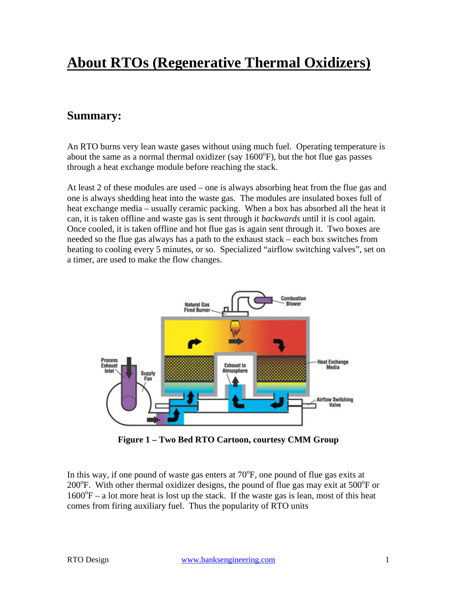# **About RTOs (Regenerative Thermal Oxidizers)**

# **Summary:**

An RTO burns very lean waste gases without using much fuel. Operating temperature is about the same as a normal thermal oxidizer (say  $1600^{\circ}$ F), but the hot flue gas passes through a heat exchange module before reaching the stack.

At least 2 of these modules are used – one is always absorbing heat from the flue gas and one is always shedding heat into the waste gas. The modules are insulated boxes full of heat exchange media – usually ceramic packing. When a box has absorbed all the heat it can, it is taken offline and waste gas is sent through it *backwards* until it is cool again. Once cooled, it is taken offline and hot flue gas is again sent through it. Two boxes are needed so the flue gas always has a path to the exhaust stack – each box switches from heating to cooling every 5 minutes, or so. Specialized "airflow switching valves", set on a timer, are used to make the flow changes.



**Figure 1 – Two Bed RTO Cartoon, courtesy CMM Group** 

In this way, if one pound of waste gas enters at  $70^{\circ}$ F, one pound of flue gas exits at 200°F. With other thermal oxidizer designs, the pound of flue gas may exit at 500°F or  $1600\textdegree F - a$  lot more heat is lost up the stack. If the waste gas is lean, most of this heat comes from firing auxiliary fuel. Thus the popularity of RTO units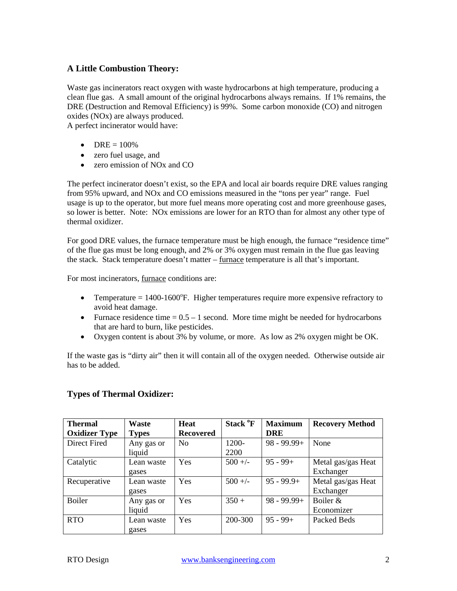# **A Little Combustion Theory:**

Waste gas incinerators react oxygen with waste hydrocarbons at high temperature, producing a clean flue gas. A small amount of the original hydrocarbons always remains. If 1% remains, the DRE (Destruction and Removal Efficiency) is 99%. Some carbon monoxide (CO) and nitrogen oxides (NOx) are always produced.

A perfect incinerator would have:

- DRE  $= 100\%$
- zero fuel usage, and
- zero emission of NO<sub>x</sub> and CO

The perfect incinerator doesn't exist, so the EPA and local air boards require DRE values ranging from 95% upward, and NOx and CO emissions measured in the "tons per year" range. Fuel usage is up to the operator, but more fuel means more operating cost and more greenhouse gases, so lower is better. Note: NOx emissions are lower for an RTO than for almost any other type of thermal oxidizer.

For good DRE values, the furnace temperature must be high enough, the furnace "residence time" of the flue gas must be long enough, and 2% or 3% oxygen must remain in the flue gas leaving the stack. Stack temperature doesn't matter – furnace temperature is all that's important.

For most incinerators, furnace conditions are:

- Temperature  $= 1400 1600$ °F. Higher temperatures require more expensive refractory to avoid heat damage.
- Furnace residence time  $= 0.5 1$  second. More time might be needed for hydrocarbons that are hard to burn, like pesticides.
- Oxygen content is about 3% by volume, or more. As low as 2% oxygen might be OK.

If the waste gas is "dirty air" then it will contain all of the oxygen needed. Otherwise outside air has to be added.

#### **Types of Thermal Oxidizer:**

| <b>Thermal</b>       | Waste        | Heat             | Stack <sup>o</sup> F | <b>Maximum</b> | <b>Recovery Method</b> |
|----------------------|--------------|------------------|----------------------|----------------|------------------------|
| <b>Oxidizer Type</b> | <b>Types</b> | <b>Recovered</b> |                      | <b>DRE</b>     |                        |
| Direct Fired         | Any gas or   | N <sub>0</sub>   | 1200-                | $98 - 99.99 +$ | None                   |
|                      | liquid       |                  | 2200                 |                |                        |
| Catalytic            | Lean waste   | Yes              | $500 +/-$            | $95 - 99 +$    | Metal gas/gas Heat     |
|                      | gases        |                  |                      |                | Exchanger              |
| Recuperative         | Lean waste   | Yes              | $500 +/-$            | $95 - 99.9 +$  | Metal gas/gas Heat     |
|                      | gases        |                  |                      |                | Exchanger              |
| <b>Boiler</b>        | Any gas or   | Yes              | $350 +$              | $98 - 99.99 +$ | Boiler $\&$            |
|                      | liquid       |                  |                      |                | Economizer             |
| <b>RTO</b>           | Lean waste   | Yes              | 200-300              | $95 - 99 +$    | Packed Beds            |
|                      | gases        |                  |                      |                |                        |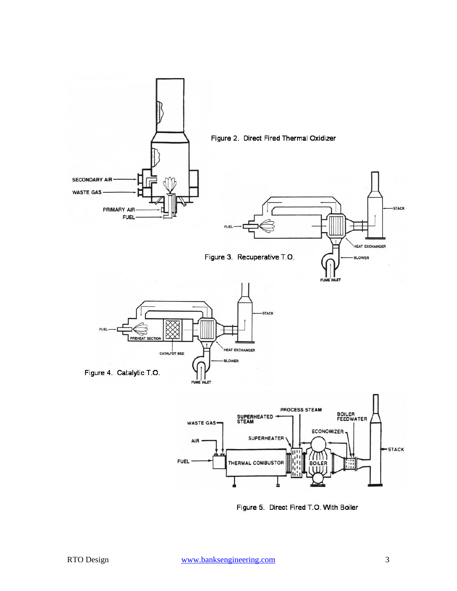

Figure 5. Direct Fired T.O. With Boiler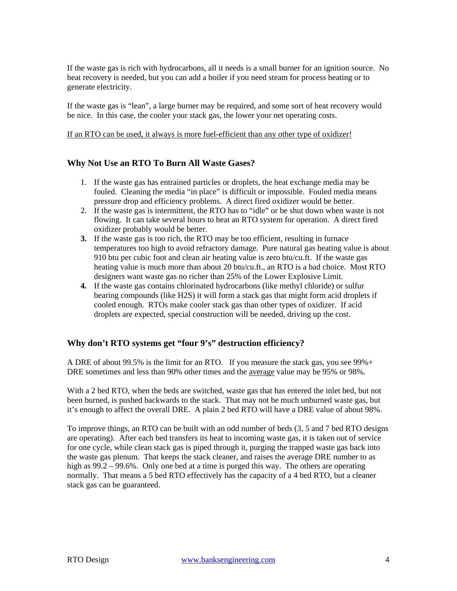If the waste gas is rich with hydrocarbons, all it needs is a small burner for an ignition source. No heat recovery is needed, but you can add a boiler if you need steam for process heating or to generate electricity.

If the waste gas is "lean", a large burner may be required, and some sort of heat recovery would be nice. In this case, the cooler your stack gas, the lower your net operating costs.

#### If an RTO can be used, it always is more fuel-efficient than any other type of oxidizer!

#### **Why Not Use an RTO To Burn All Waste Gases?**

- 1. If the waste gas has entrained particles or droplets, the heat exchange media may be fouled. Cleaning the media "in place" is difficult or impossible. Fouled media means pressure drop and efficiency problems. A direct fired oxidizer would be better.
- 2. If the waste gas is intermittent, the RTO has to "idle" or be shut down when waste is not flowing. It can take several hours to heat an RTO system for operation. A direct fired oxidizer probably would be better.
- **3.** If the waste gas is too rich, the RTO may be too efficient, resulting in furnace temperatures too high to avoid refractory damage. Pure natural gas heating value is about 910 btu per cubic foot and clean air heating value is zero btu/cu.ft. If the waste gas heating value is much more than about 20 btu/cu.ft., an RTO is a bad choice. Most RTO designers want waste gas no richer than 25% of the Lower Explosive Limit.
- **4.** If the waste gas contains chlorinated hydrocarbons (like methyl chloride) or sulfur bearing compounds (like H2S) it will form a stack gas that might form acid droplets if cooled enough. RTOs make cooler stack gas than other types of oxidizer. If acid droplets are expected, special construction will be needed, driving up the cost.

#### **Why don't RTO systems get "four 9's" destruction efficiency?**

A DRE of about 99.5% is the limit for an RTO. If you measure the stack gas, you see 99%+ DRE sometimes and less than 90% other times and the average value may be 95% or 98%.

With a 2 bed RTO, when the beds are switched, waste gas that has entered the inlet bed, but not been burned, is pushed backwards to the stack. That may not be much unburned waste gas, but it's enough to affect the overall DRE. A plain 2 bed RTO will have a DRE value of about 98%.

To improve things, an RTO can be built with an odd number of beds (3, 5 and 7 bed RTO designs are operating). After each bed transfers its heat to incoming waste gas, it is taken out of service for one cycle, while clean stack gas is piped through it, purging the trapped waste gas back into the waste gas plenum. That keeps the stack cleaner, and raises the average DRE number to as high as  $99.2 - 99.6\%$ . Only one bed at a time is purged this way. The others are operating normally. That means a 5 bed RTO effectively has the capacity of a 4 bed RTO, but a cleaner stack gas can be guaranteed.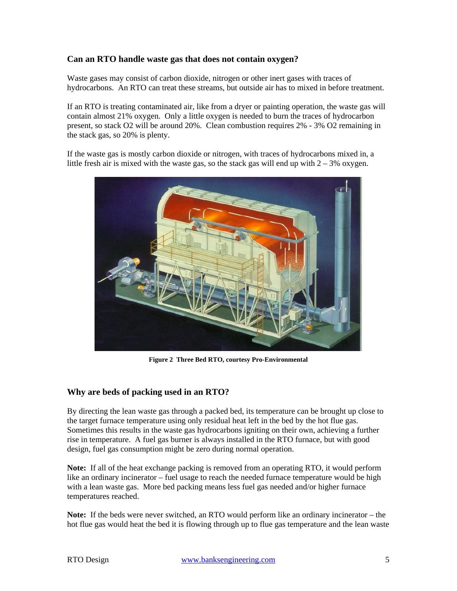#### **Can an RTO handle waste gas that does not contain oxygen?**

Waste gases may consist of carbon dioxide, nitrogen or other inert gases with traces of hydrocarbons. An RTO can treat these streams, but outside air has to mixed in before treatment.

If an RTO is treating contaminated air, like from a dryer or painting operation, the waste gas will contain almost 21% oxygen. Only a little oxygen is needed to burn the traces of hydrocarbon present, so stack O2 will be around 20%. Clean combustion requires 2% - 3% O2 remaining in the stack gas, so 20% is plenty.

If the waste gas is mostly carbon dioxide or nitrogen, with traces of hydrocarbons mixed in, a little fresh air is mixed with the waste gas, so the stack gas will end up with  $2 - 3\%$  oxygen.



**Figure 2 Three Bed RTO, courtesy Pro-Environmental** 

#### **Why are beds of packing used in an RTO?**

By directing the lean waste gas through a packed bed, its temperature can be brought up close to the target furnace temperature using only residual heat left in the bed by the hot flue gas. Sometimes this results in the waste gas hydrocarbons igniting on their own, achieving a further rise in temperature. A fuel gas burner is always installed in the RTO furnace, but with good design, fuel gas consumption might be zero during normal operation.

**Note:** If all of the heat exchange packing is removed from an operating RTO, it would perform like an ordinary incinerator – fuel usage to reach the needed furnace temperature would be high with a lean waste gas. More bed packing means less fuel gas needed and/or higher furnace temperatures reached.

**Note:** If the beds were never switched, an RTO would perform like an ordinary incinerator – the hot flue gas would heat the bed it is flowing through up to flue gas temperature and the lean waste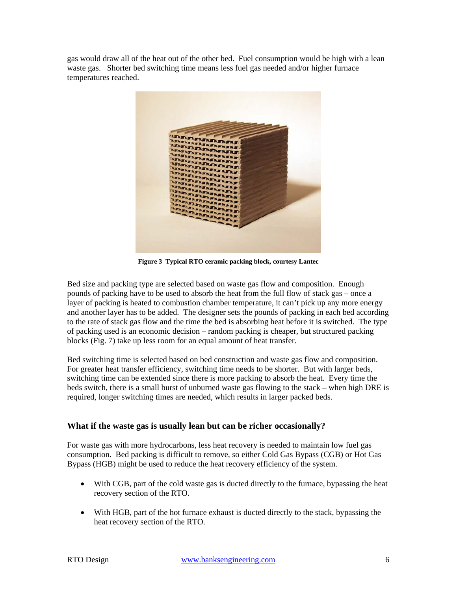gas would draw all of the heat out of the other bed. Fuel consumption would be high with a lean waste gas. Shorter bed switching time means less fuel gas needed and/or higher furnace temperatures reached.



**Figure 3 Typical RTO ceramic packing block, courtesy Lantec** 

Bed size and packing type are selected based on waste gas flow and composition. Enough pounds of packing have to be used to absorb the heat from the full flow of stack gas – once a layer of packing is heated to combustion chamber temperature, it can't pick up any more energy and another layer has to be added. The designer sets the pounds of packing in each bed according to the rate of stack gas flow and the time the bed is absorbing heat before it is switched. The type of packing used is an economic decision – random packing is cheaper, but structured packing blocks (Fig. 7) take up less room for an equal amount of heat transfer.

Bed switching time is selected based on bed construction and waste gas flow and composition. For greater heat transfer efficiency, switching time needs to be shorter. But with larger beds, switching time can be extended since there is more packing to absorb the heat. Every time the beds switch, there is a small burst of unburned waste gas flowing to the stack – when high DRE is required, longer switching times are needed, which results in larger packed beds.

#### **What if the waste gas is usually lean but can be richer occasionally?**

For waste gas with more hydrocarbons, less heat recovery is needed to maintain low fuel gas consumption. Bed packing is difficult to remove, so either Cold Gas Bypass (CGB) or Hot Gas Bypass (HGB) might be used to reduce the heat recovery efficiency of the system.

- With CGB, part of the cold waste gas is ducted directly to the furnace, bypassing the heat recovery section of the RTO.
- With HGB, part of the hot furnace exhaust is ducted directly to the stack, bypassing the heat recovery section of the RTO.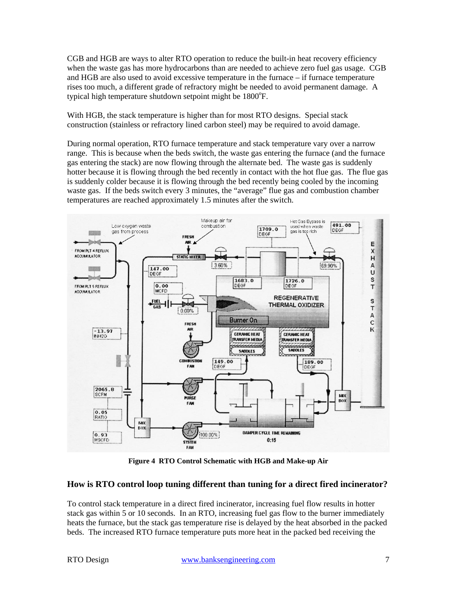CGB and HGB are ways to alter RTO operation to reduce the built-in heat recovery efficiency when the waste gas has more hydrocarbons than are needed to achieve zero fuel gas usage. CGB and HGB are also used to avoid excessive temperature in the furnace – if furnace temperature rises too much, a different grade of refractory might be needed to avoid permanent damage. A typical high temperature shutdown setpoint might be 1800°F.

With HGB, the stack temperature is higher than for most RTO designs. Special stack construction (stainless or refractory lined carbon steel) may be required to avoid damage.

During normal operation, RTO furnace temperature and stack temperature vary over a narrow range. This is because when the beds switch, the waste gas entering the furnace (and the furnace gas entering the stack) are now flowing through the alternate bed. The waste gas is suddenly hotter because it is flowing through the bed recently in contact with the hot flue gas. The flue gas is suddenly colder because it is flowing through the bed recently being cooled by the incoming waste gas. If the beds switch every 3 minutes, the "average" flue gas and combustion chamber temperatures are reached approximately 1.5 minutes after the switch.



**Figure 4 RTO Control Schematic with HGB and Make-up Air**

#### **How is RTO control loop tuning different than tuning for a direct fired incinerator?**

To control stack temperature in a direct fired incinerator, increasing fuel flow results in hotter stack gas within 5 or 10 seconds. In an RTO, increasing fuel gas flow to the burner immediately heats the furnace, but the stack gas temperature rise is delayed by the heat absorbed in the packed beds. The increased RTO furnace temperature puts more heat in the packed bed receiving the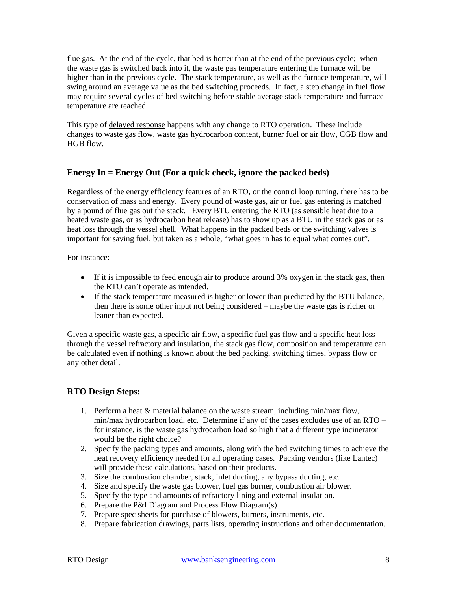flue gas. At the end of the cycle, that bed is hotter than at the end of the previous cycle; when the waste gas is switched back into it, the waste gas temperature entering the furnace will be higher than in the previous cycle. The stack temperature, as well as the furnace temperature, will swing around an average value as the bed switching proceeds. In fact, a step change in fuel flow may require several cycles of bed switching before stable average stack temperature and furnace temperature are reached.

This type of delayed response happens with any change to RTO operation. These include changes to waste gas flow, waste gas hydrocarbon content, burner fuel or air flow, CGB flow and HGB flow.

### **Energy In = Energy Out (For a quick check, ignore the packed beds)**

Regardless of the energy efficiency features of an RTO, or the control loop tuning, there has to be conservation of mass and energy. Every pound of waste gas, air or fuel gas entering is matched by a pound of flue gas out the stack. Every BTU entering the RTO (as sensible heat due to a heated waste gas, or as hydrocarbon heat release) has to show up as a BTU in the stack gas or as heat loss through the vessel shell. What happens in the packed beds or the switching valves is important for saving fuel, but taken as a whole, "what goes in has to equal what comes out".

For instance:

- If it is impossible to feed enough air to produce around 3% oxygen in the stack gas, then the RTO can't operate as intended.
- If the stack temperature measured is higher or lower than predicted by the BTU balance, then there is some other input not being considered – maybe the waste gas is richer or leaner than expected.

Given a specific waste gas, a specific air flow, a specific fuel gas flow and a specific heat loss through the vessel refractory and insulation, the stack gas flow, composition and temperature can be calculated even if nothing is known about the bed packing, switching times, bypass flow or any other detail.

# **RTO Design Steps:**

- 1. Perform a heat & material balance on the waste stream, including min/max flow, min/max hydrocarbon load, etc. Determine if any of the cases excludes use of an RTO – for instance, is the waste gas hydrocarbon load so high that a different type incinerator would be the right choice?
- 2. Specify the packing types and amounts, along with the bed switching times to achieve the heat recovery efficiency needed for all operating cases. Packing vendors (like Lantec) will provide these calculations, based on their products.
- 3. Size the combustion chamber, stack, inlet ducting, any bypass ducting, etc.
- 4. Size and specify the waste gas blower, fuel gas burner, combustion air blower.
- 5. Specify the type and amounts of refractory lining and external insulation.
- 6. Prepare the P&I Diagram and Process Flow Diagram(s)
- 7. Prepare spec sheets for purchase of blowers, burners, instruments, etc.
- 8. Prepare fabrication drawings, parts lists, operating instructions and other documentation.